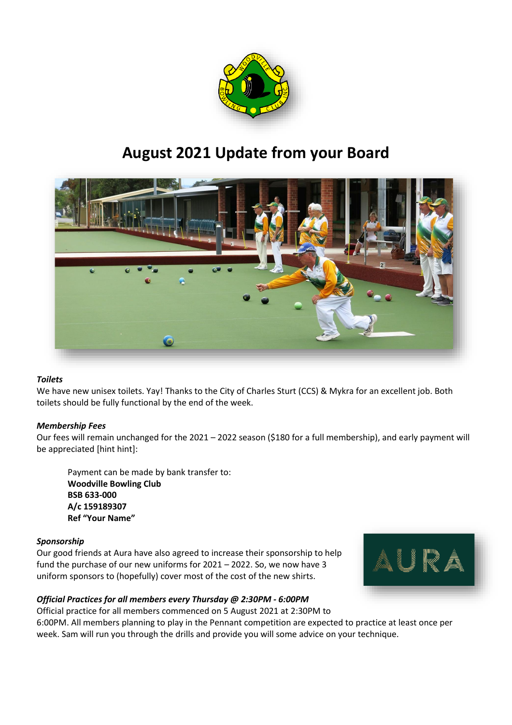

# **August 2021 Update from your Board**



# *Toilets*

We have new unisex toilets. Yay! Thanks to the City of Charles Sturt (CCS) & Mykra for an excellent job. Both toilets should be fully functional by the end of the week.

## *Membership Fees*

Our fees will remain unchanged for the 2021 – 2022 season (\$180 for a full membership), and early payment will be appreciated [hint hint]:

Payment can be made by bank transfer to: **Woodville Bowling Club BSB 633-000 A/c 159189307 Ref "Your Name"**

## *Sponsorship*

Our good friends at Aura have also agreed to increase their sponsorship to help fund the purchase of our new uniforms for 2021 – 2022. So, we now have 3 uniform sponsors to (hopefully) cover most of the cost of the new shirts.



# *Official Practices for all members every Thursday @ 2:30PM - 6:00PM*

Official practice for all members commenced on 5 August 2021 at 2:30PM to 6:00PM. All members planning to play in the Pennant competition are expected to practice at least once per week. Sam will run you through the drills and provide you will some advice on your technique.